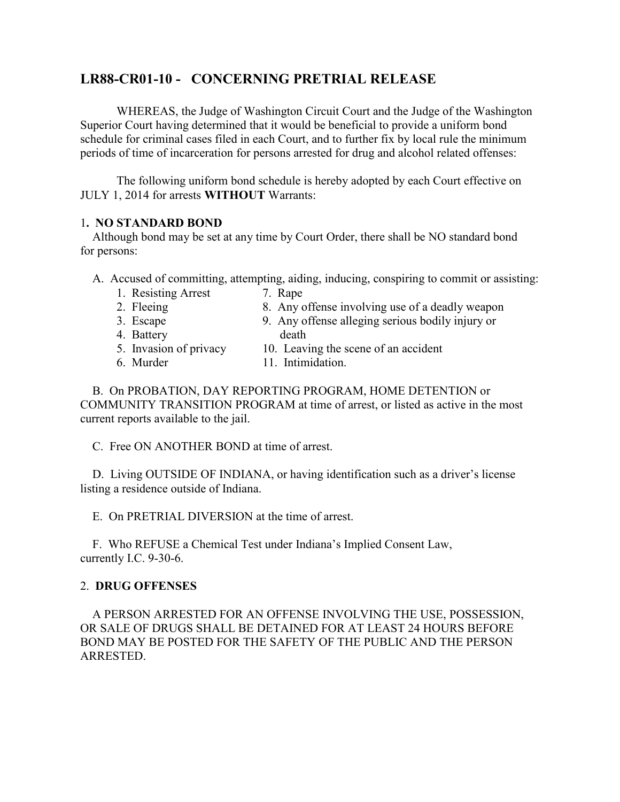# **LR88-CR01-10 - CONCERNING PRETRIAL RELEASE**

WHEREAS, the Judge of Washington Circuit Court and the Judge of the Washington Superior Court having determined that it would be beneficial to provide a uniform bond schedule for criminal cases filed in each Court, and to further fix by local rule the minimum periods of time of incarceration for persons arrested for drug and alcohol related offenses:

 The following uniform bond schedule is hereby adopted by each Court effective on JULY 1, 2014 for arrests **WITHOUT** Warrants:

## 1**. NO STANDARD BOND**

 Although bond may be set at any time by Court Order, there shall be NO standard bond for persons:

- A. Accused of committing, attempting, aiding, inducing, conspiring to commit or assisting:
	- 1. Resisting Arrest 7. Rape
	- 2. Fleeing 8. Any offense involving use of a deadly weapon
	-
	- 3. Escape 9. Any offense alleging serious bodily injury or
	- 4. Battery death
	- 5. Invasion of privacy 10. Leaving the scene of an accident
	-
	- 6. Murder 11. Intimidation.

 B. On PROBATION, DAY REPORTING PROGRAM, HOME DETENTION or COMMUNITY TRANSITION PROGRAM at time of arrest, or listed as active in the most current reports available to the jail.

C. Free ON ANOTHER BOND at time of arrest.

 D. Living OUTSIDE OF INDIANA, or having identification such as a driver's license listing a residence outside of Indiana.

E. On PRETRIAL DIVERSION at the time of arrest.

 F. Who REFUSE a Chemical Test under Indiana's Implied Consent Law, currently I.C. 9-30-6.

# 2. **DRUG OFFENSES**

 A PERSON ARRESTED FOR AN OFFENSE INVOLVING THE USE, POSSESSION, OR SALE OF DRUGS SHALL BE DETAINED FOR AT LEAST 24 HOURS BEFORE BOND MAY BE POSTED FOR THE SAFETY OF THE PUBLIC AND THE PERSON ARRESTED.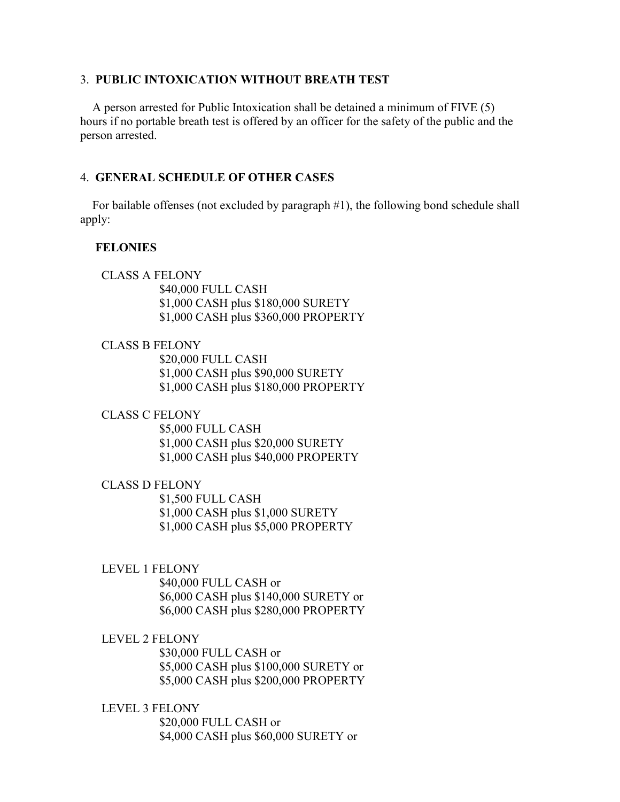#### 3. **PUBLIC INTOXICATION WITHOUT BREATH TEST**

 A person arrested for Public Intoxication shall be detained a minimum of FIVE (5) hours if no portable breath test is offered by an officer for the safety of the public and the person arrested.

#### 4. **GENERAL SCHEDULE OF OTHER CASES**

 For bailable offenses (not excluded by paragraph #1), the following bond schedule shall apply:

#### **FELONIES**

 CLASS A FELONY \$40,000 FULL CASH \$1,000 CASH plus \$180,000 SURETY \$1,000 CASH plus \$360,000 PROPERTY

#### CLASS B FELONY

 \$20,000 FULL CASH \$1,000 CASH plus \$90,000 SURETY \$1,000 CASH plus \$180,000 PROPERTY

#### CLASS C FELONY

 \$5,000 FULL CASH \$1,000 CASH plus \$20,000 SURETY \$1,000 CASH plus \$40,000 PROPERTY

#### CLASS D FELONY

 \$1,500 FULL CASH \$1,000 CASH plus \$1,000 SURETY \$1,000 CASH plus \$5,000 PROPERTY

#### LEVEL 1 FELONY

 \$40,000 FULL CASH or \$6,000 CASH plus \$140,000 SURETY or \$6,000 CASH plus \$280,000 PROPERTY

#### LEVEL 2 FELONY

 \$30,000 FULL CASH or \$5,000 CASH plus \$100,000 SURETY or \$5,000 CASH plus \$200,000 PROPERTY

#### LEVEL 3 FELONY

 \$20,000 FULL CASH or \$4,000 CASH plus \$60,000 SURETY or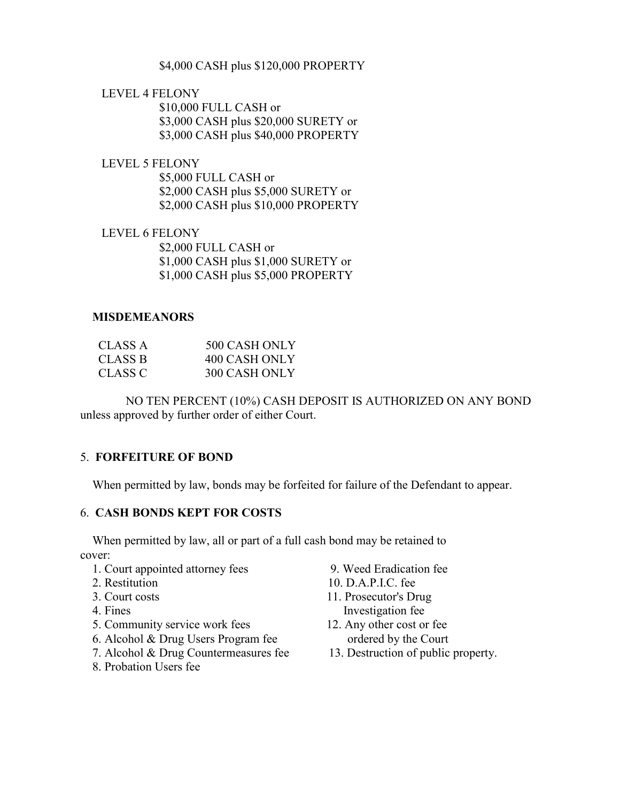## \$4,000 CASH plus \$120,000 PROPERTY

# LEVEL 4 FELONY

 \$10,000 FULL CASH or \$3,000 CASH plus \$20,000 SURETY or \$3,000 CASH plus \$40,000 PROPERTY

 LEVEL 5 FELONY \$5,000 FULL CASH or \$2,000 CASH plus \$5,000 SURETY or \$2,000 CASH plus \$10,000 PROPERTY

 LEVEL 6 FELONY \$2,000 FULL CASH or \$1,000 CASH plus \$1,000 SURETY or \$1,000 CASH plus \$5,000 PROPERTY

#### **MISDEMEANORS**

| CLASS A | 500 CASH ONLY |
|---------|---------------|
| CLASS B | 400 CASH ONLY |
| CLASS C | 300 CASH ONLY |

 NO TEN PERCENT (10%) CASH DEPOSIT IS AUTHORIZED ON ANY BOND unless approved by further order of either Court.

# 5. **FORFEITURE OF BOND**

When permitted by law, bonds may be forfeited for failure of the Defendant to appear.

# 6. **CASH BONDS KEPT FOR COSTS**

 When permitted by law, all or part of a full cash bond may be retained to cover:

- 1. Court appointed attorney fees 9. Weed Eradication fee
- 
- 
- 
- 5. Community service work fees 12. Any other cost or fee
- 6. Alcohol & Drug Users Program fee ordered by the Court
- 7. Alcohol & Drug Countermeasures fee 13. Destruction of public property.
- 8. Probation Users fee
- 
- 2. Restitution 10. D.A.P.I.C. fee
- 3. Court costs 11. Prosecutor's Drug 4. Fines Investigation fee
	-
	-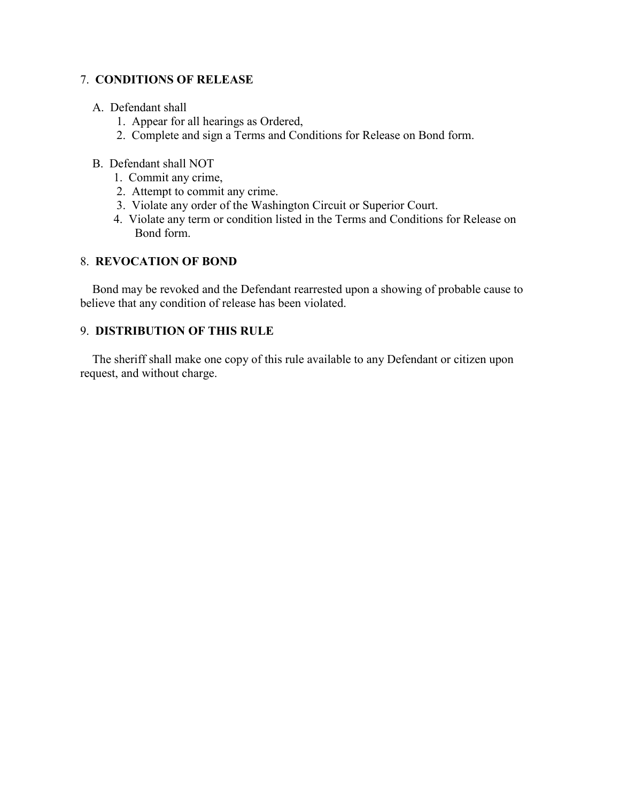## 7. **CONDITIONS OF RELEASE**

## A. Defendant shall

- 1. Appear for all hearings as Ordered,
- 2. Complete and sign a Terms and Conditions for Release on Bond form.

## B. Defendant shall NOT

- 1. Commit any crime,
- 2. Attempt to commit any crime.
- 3. Violate any order of the Washington Circuit or Superior Court.
- 4. Violate any term or condition listed in the Terms and Conditions for Release on Bond form.

# 8. **REVOCATION OF BOND**

 Bond may be revoked and the Defendant rearrested upon a showing of probable cause to believe that any condition of release has been violated.

# 9. **DISTRIBUTION OF THIS RULE**

 The sheriff shall make one copy of this rule available to any Defendant or citizen upon request, and without charge.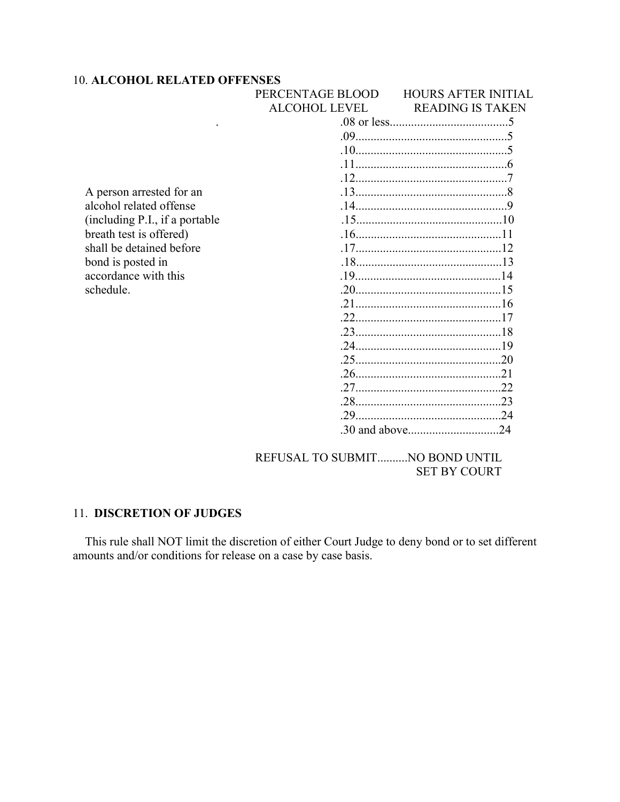#### 10. **ALCOHOL RELATED OFFENSES**

|                                | PERCENTAGE BLOOD     | <b>HOURS AFTER INITIAL</b> |
|--------------------------------|----------------------|----------------------------|
|                                | <b>ALCOHOL LEVEL</b> | <b>READING IS TAKEN</b>    |
|                                |                      |                            |
|                                |                      |                            |
|                                |                      |                            |
|                                |                      |                            |
|                                |                      |                            |
| A person arrested for an       |                      |                            |
| alcohol related offense        |                      |                            |
| (including P.I., if a portable |                      |                            |
| breath test is offered)        |                      |                            |
| shall be detained before       |                      |                            |
| bond is posted in              |                      |                            |
| accordance with this           |                      |                            |
| schedule.                      |                      |                            |
|                                |                      |                            |
|                                |                      |                            |
|                                |                      |                            |
|                                |                      |                            |
|                                |                      |                            |
|                                |                      |                            |
|                                |                      |                            |
|                                |                      |                            |
|                                | 29                   |                            |
|                                |                      |                            |

REFUSAL TO SUBMIT..........NO BOND UNTIL SET BY COURT

# 11. **DISCRETION OF JUDGES**

 This rule shall NOT limit the discretion of either Court Judge to deny bond or to set different amounts and/or conditions for release on a case by case basis.